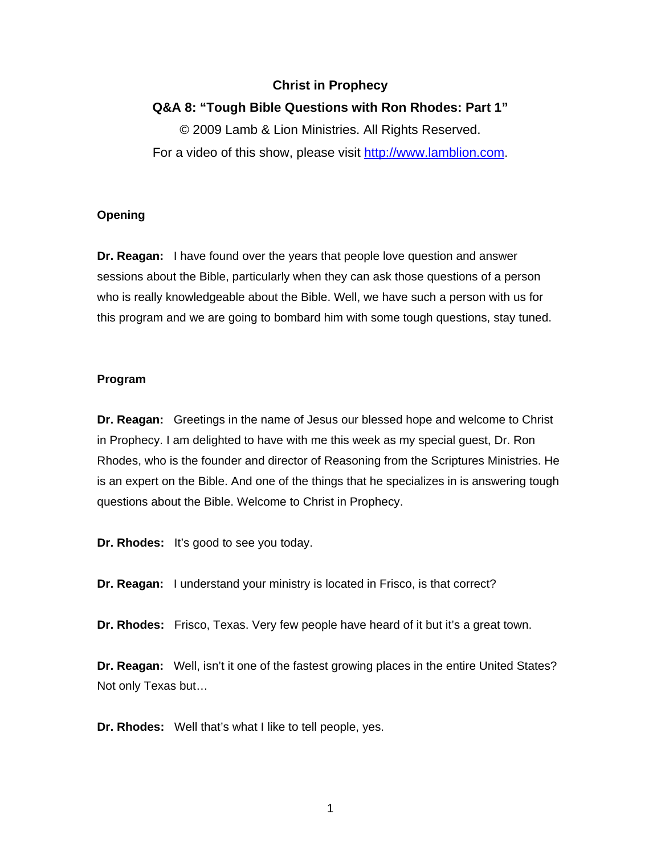# **Christ in Prophecy**

### **Q&A 8: "Tough Bible Questions with Ron Rhodes: Part 1"**

© 2009 Lamb & Lion Ministries. All Rights Reserved. For a video of this show, please visit [http://www.lamblion.com](http://www.lamblion.com/).

### **Opening**

**Dr. Reagan:** I have found over the years that people love question and answer sessions about the Bible, particularly when they can ask those questions of a person who is really knowledgeable about the Bible. Well, we have such a person with us for this program and we are going to bombard him with some tough questions, stay tuned.

#### **Program**

**Dr. Reagan:** Greetings in the name of Jesus our blessed hope and welcome to Christ in Prophecy. I am delighted to have with me this week as my special guest, Dr. Ron Rhodes, who is the founder and director of Reasoning from the Scriptures Ministries. He is an expert on the Bible. And one of the things that he specializes in is answering tough questions about the Bible. Welcome to Christ in Prophecy.

**Dr. Rhodes:** It's good to see you today.

**Dr. Reagan:** I understand your ministry is located in Frisco, is that correct?

**Dr. Rhodes:** Frisco, Texas. Very few people have heard of it but it's a great town.

**Dr. Reagan:** Well, isn't it one of the fastest growing places in the entire United States? Not only Texas but…

**Dr. Rhodes:** Well that's what I like to tell people, yes.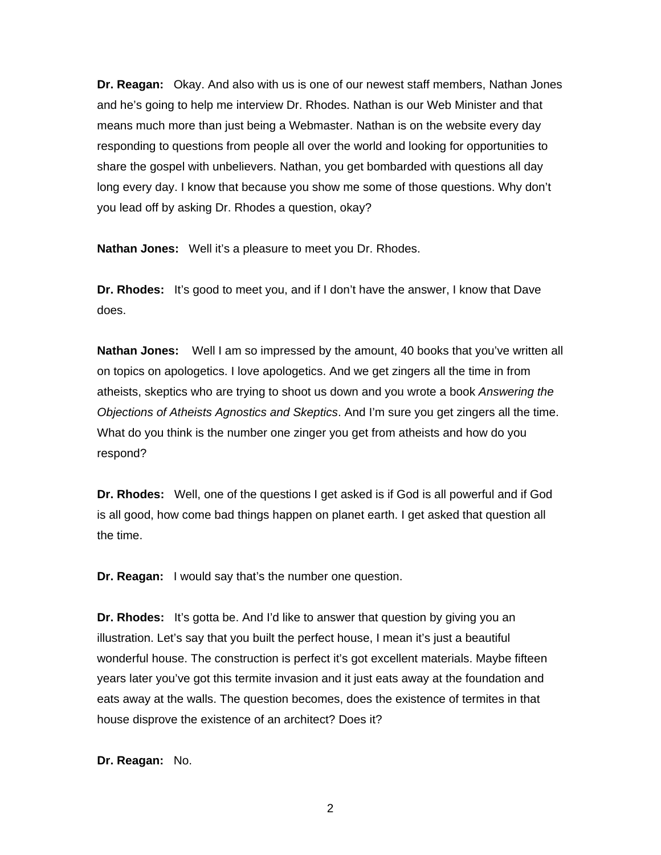**Dr. Reagan:** Okay. And also with us is one of our newest staff members, Nathan Jones and he's going to help me interview Dr. Rhodes. Nathan is our Web Minister and that means much more than just being a Webmaster. Nathan is on the website every day responding to questions from people all over the world and looking for opportunities to share the gospel with unbelievers. Nathan, you get bombarded with questions all day long every day. I know that because you show me some of those questions. Why don't you lead off by asking Dr. Rhodes a question, okay?

**Nathan Jones:** Well it's a pleasure to meet you Dr. Rhodes.

**Dr. Rhodes:** It's good to meet you, and if I don't have the answer, I know that Dave does.

**Nathan Jones:** Well I am so impressed by the amount, 40 books that you've written all on topics on apologetics. I love apologetics. And we get zingers all the time in from atheists, skeptics who are trying to shoot us down and you wrote a book *Answering the Objections of Atheists Agnostics and Skeptics*. And I'm sure you get zingers all the time. What do you think is the number one zinger you get from atheists and how do you respond?

**Dr. Rhodes:** Well, one of the questions I get asked is if God is all powerful and if God is all good, how come bad things happen on planet earth. I get asked that question all the time.

**Dr. Reagan:** I would say that's the number one question.

**Dr. Rhodes:** It's gotta be. And I'd like to answer that question by giving you an illustration. Let's say that you built the perfect house, I mean it's just a beautiful wonderful house. The construction is perfect it's got excellent materials. Maybe fifteen years later you've got this termite invasion and it just eats away at the foundation and eats away at the walls. The question becomes, does the existence of termites in that house disprove the existence of an architect? Does it?

**Dr. Reagan:** No.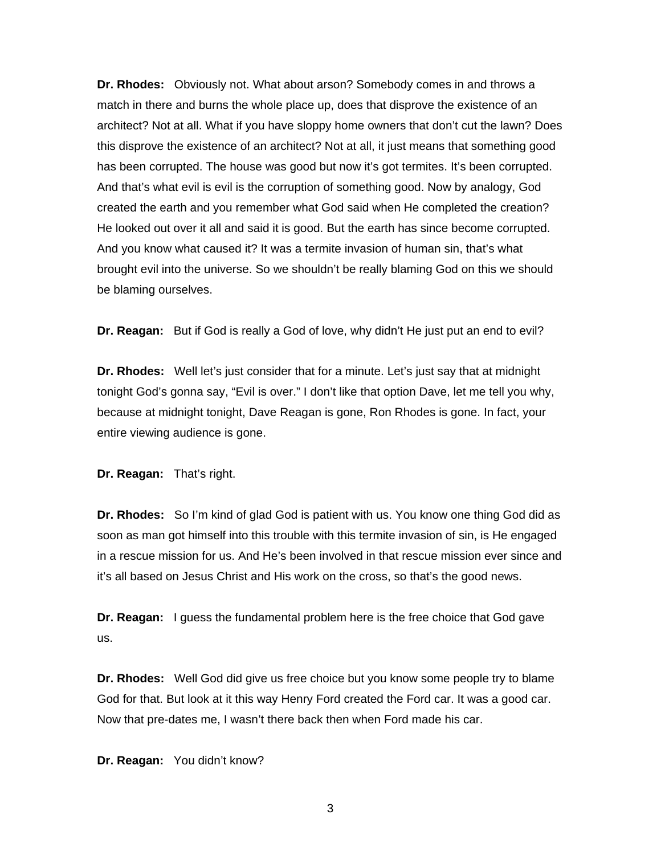**Dr. Rhodes:** Obviously not. What about arson? Somebody comes in and throws a match in there and burns the whole place up, does that disprove the existence of an architect? Not at all. What if you have sloppy home owners that don't cut the lawn? Does this disprove the existence of an architect? Not at all, it just means that something good has been corrupted. The house was good but now it's got termites. It's been corrupted. And that's what evil is evil is the corruption of something good. Now by analogy, God created the earth and you remember what God said when He completed the creation? He looked out over it all and said it is good. But the earth has since become corrupted. And you know what caused it? It was a termite invasion of human sin, that's what brought evil into the universe. So we shouldn't be really blaming God on this we should be blaming ourselves.

**Dr. Reagan:** But if God is really a God of love, why didn't He just put an end to evil?

**Dr. Rhodes:** Well let's just consider that for a minute. Let's just say that at midnight tonight God's gonna say, "Evil is over." I don't like that option Dave, let me tell you why, because at midnight tonight, Dave Reagan is gone, Ron Rhodes is gone. In fact, your entire viewing audience is gone.

**Dr. Reagan:** That's right.

**Dr. Rhodes:** So I'm kind of glad God is patient with us. You know one thing God did as soon as man got himself into this trouble with this termite invasion of sin, is He engaged in a rescue mission for us. And He's been involved in that rescue mission ever since and it's all based on Jesus Christ and His work on the cross, so that's the good news.

**Dr. Reagan:** I guess the fundamental problem here is the free choice that God gave us.

**Dr. Rhodes:** Well God did give us free choice but you know some people try to blame God for that. But look at it this way Henry Ford created the Ford car. It was a good car. Now that pre-dates me, I wasn't there back then when Ford made his car.

**Dr. Reagan:** You didn't know?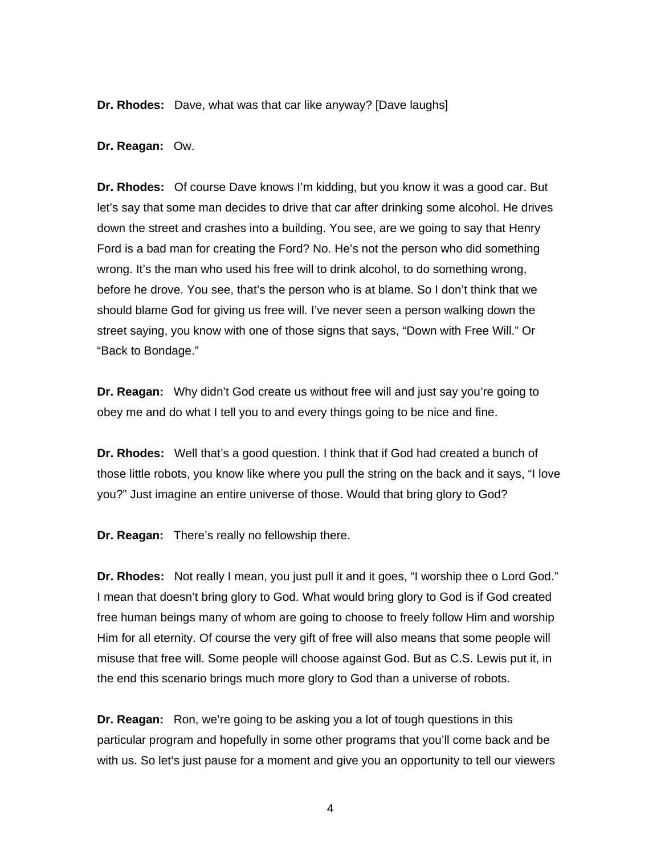**Dr. Rhodes:** Dave, what was that car like anyway? [Dave laughs]

#### **Dr. Reagan:** Ow.

**Dr. Rhodes:** Of course Dave knows I'm kidding, but you know it was a good car. But let's say that some man decides to drive that car after drinking some alcohol. He drives down the street and crashes into a building. You see, are we going to say that Henry Ford is a bad man for creating the Ford? No. He's not the person who did something wrong. It's the man who used his free will to drink alcohol, to do something wrong, before he drove. You see, that's the person who is at blame. So I don't think that we should blame God for giving us free will. I've never seen a person walking down the street saying, you know with one of those signs that says, "Down with Free Will." Or "Back to Bondage."

**Dr. Reagan:** Why didn't God create us without free will and just say you're going to obey me and do what I tell you to and every things going to be nice and fine.

**Dr. Rhodes:** Well that's a good question. I think that if God had created a bunch of those little robots, you know like where you pull the string on the back and it says, "I love you?" Just imagine an entire universe of those. Would that bring glory to God?

**Dr. Reagan:** There's really no fellowship there.

**Dr. Rhodes:** Not really I mean, you just pull it and it goes, "I worship thee o Lord God." I mean that doesn't bring glory to God. What would bring glory to God is if God created free human beings many of whom are going to choose to freely follow Him and worship Him for all eternity. Of course the very gift of free will also means that some people will misuse that free will. Some people will choose against God. But as C.S. Lewis put it, in the end this scenario brings much more glory to God than a universe of robots.

**Dr. Reagan:** Ron, we're going to be asking you a lot of tough questions in this particular program and hopefully in some other programs that you'll come back and be with us. So let's just pause for a moment and give you an opportunity to tell our viewers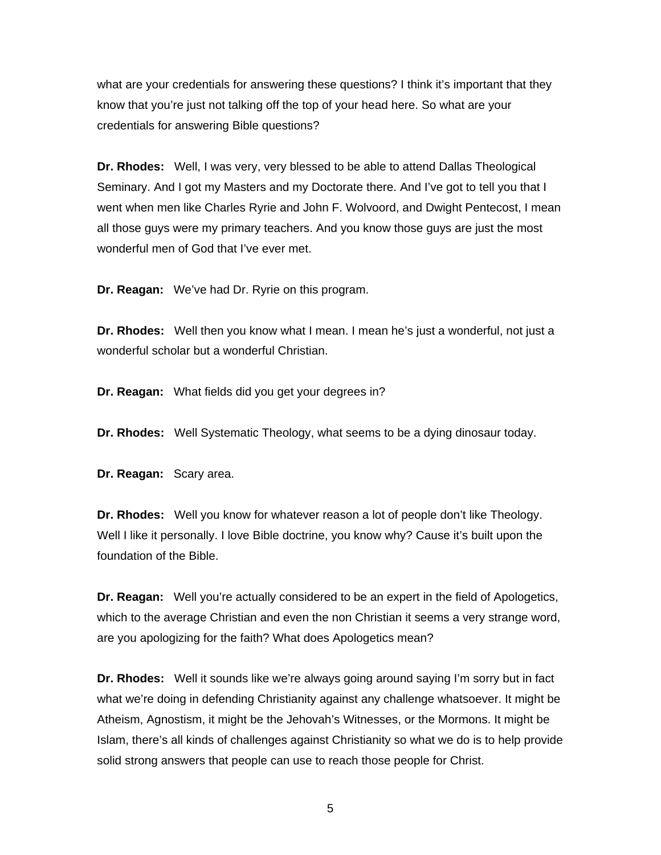what are your credentials for answering these questions? I think it's important that they know that you're just not talking off the top of your head here. So what are your credentials for answering Bible questions?

**Dr. Rhodes:** Well, I was very, very blessed to be able to attend Dallas Theological Seminary. And I got my Masters and my Doctorate there. And I've got to tell you that I went when men like Charles Ryrie and John F. Wolvoord, and Dwight Pentecost, I mean all those guys were my primary teachers. And you know those guys are just the most wonderful men of God that I've ever met.

**Dr. Reagan:** We've had Dr. Ryrie on this program.

**Dr. Rhodes:** Well then you know what I mean. I mean he's just a wonderful, not just a wonderful scholar but a wonderful Christian.

**Dr. Reagan:** What fields did you get your degrees in?

**Dr. Rhodes:** Well Systematic Theology, what seems to be a dying dinosaur today.

**Dr. Reagan:** Scary area.

**Dr. Rhodes:** Well you know for whatever reason a lot of people don't like Theology. Well I like it personally. I love Bible doctrine, you know why? Cause it's built upon the foundation of the Bible.

**Dr. Reagan:** Well you're actually considered to be an expert in the field of Apologetics, which to the average Christian and even the non Christian it seems a very strange word, are you apologizing for the faith? What does Apologetics mean?

**Dr. Rhodes:** Well it sounds like we're always going around saying I'm sorry but in fact what we're doing in defending Christianity against any challenge whatsoever. It might be Atheism, Agnostism, it might be the Jehovah's Witnesses, or the Mormons. It might be Islam, there's all kinds of challenges against Christianity so what we do is to help provide solid strong answers that people can use to reach those people for Christ.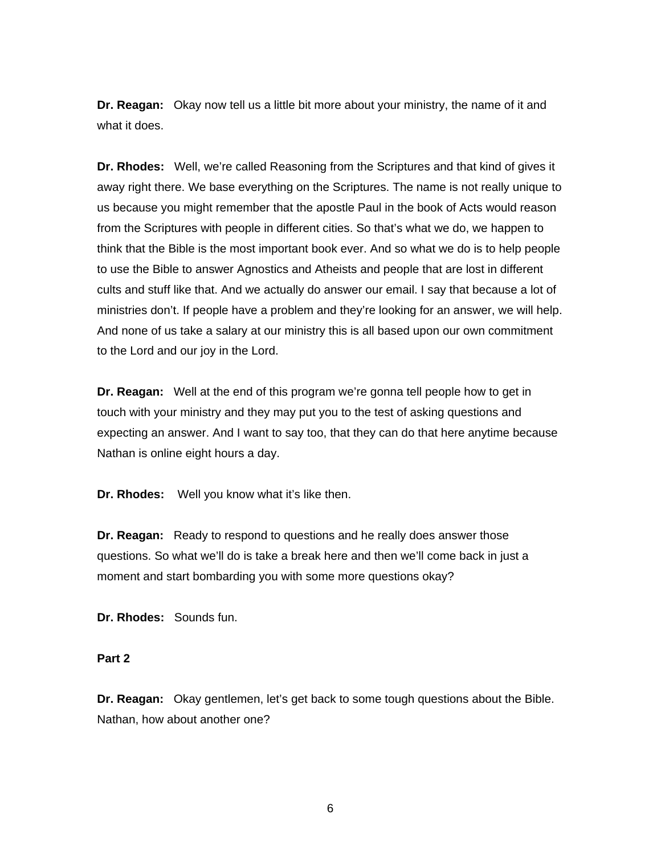**Dr. Reagan:** Okay now tell us a little bit more about your ministry, the name of it and what it does.

**Dr. Rhodes:** Well, we're called Reasoning from the Scriptures and that kind of gives it away right there. We base everything on the Scriptures. The name is not really unique to us because you might remember that the apostle Paul in the book of Acts would reason from the Scriptures with people in different cities. So that's what we do, we happen to think that the Bible is the most important book ever. And so what we do is to help people to use the Bible to answer Agnostics and Atheists and people that are lost in different cults and stuff like that. And we actually do answer our email. I say that because a lot of ministries don't. If people have a problem and they're looking for an answer, we will help. And none of us take a salary at our ministry this is all based upon our own commitment to the Lord and our joy in the Lord.

**Dr. Reagan:** Well at the end of this program we're gonna tell people how to get in touch with your ministry and they may put you to the test of asking questions and expecting an answer. And I want to say too, that they can do that here anytime because Nathan is online eight hours a day.

**Dr. Rhodes:** Well you know what it's like then.

**Dr. Reagan:** Ready to respond to questions and he really does answer those questions. So what we'll do is take a break here and then we'll come back in just a moment and start bombarding you with some more questions okay?

**Dr. Rhodes:** Sounds fun.

# **Part 2**

**Dr. Reagan:** Okay gentlemen, let's get back to some tough questions about the Bible. Nathan, how about another one?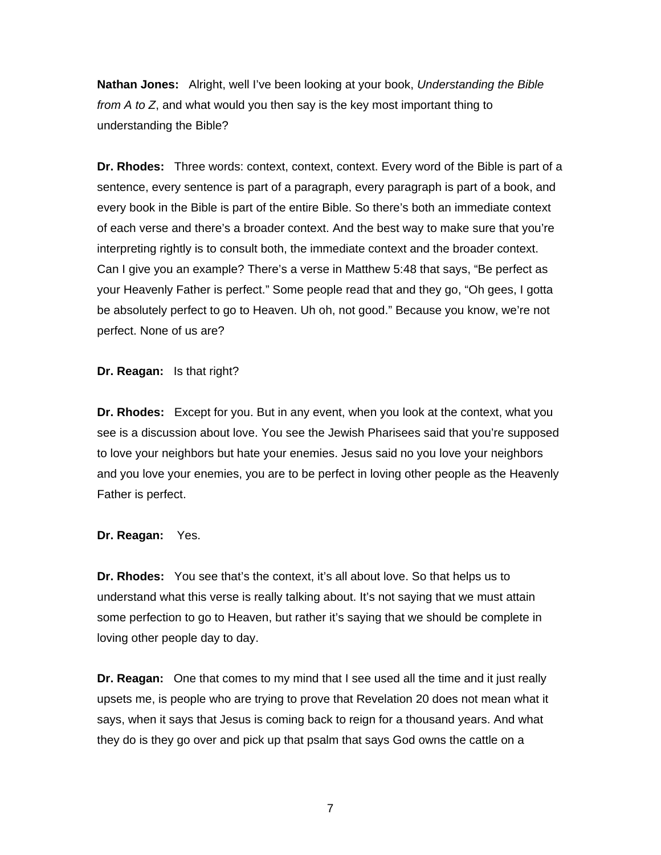**Nathan Jones:** Alright, well I've been looking at your book, *Understanding the Bible from A to Z*, and what would you then say is the key most important thing to understanding the Bible?

**Dr. Rhodes:** Three words: context, context, context. Every word of the Bible is part of a sentence, every sentence is part of a paragraph, every paragraph is part of a book, and every book in the Bible is part of the entire Bible. So there's both an immediate context of each verse and there's a broader context. And the best way to make sure that you're interpreting rightly is to consult both, the immediate context and the broader context. Can I give you an example? There's a verse in Matthew 5:48 that says, "Be perfect as your Heavenly Father is perfect." Some people read that and they go, "Oh gees, I gotta be absolutely perfect to go to Heaven. Uh oh, not good." Because you know, we're not perfect. None of us are?

**Dr. Reagan:** Is that right?

**Dr. Rhodes:** Except for you. But in any event, when you look at the context, what you see is a discussion about love. You see the Jewish Pharisees said that you're supposed to love your neighbors but hate your enemies. Jesus said no you love your neighbors and you love your enemies, you are to be perfect in loving other people as the Heavenly Father is perfect.

**Dr. Reagan:** Yes.

**Dr. Rhodes:** You see that's the context, it's all about love. So that helps us to understand what this verse is really talking about. It's not saying that we must attain some perfection to go to Heaven, but rather it's saying that we should be complete in loving other people day to day.

**Dr. Reagan:** One that comes to my mind that I see used all the time and it just really upsets me, is people who are trying to prove that Revelation 20 does not mean what it says, when it says that Jesus is coming back to reign for a thousand years. And what they do is they go over and pick up that psalm that says God owns the cattle on a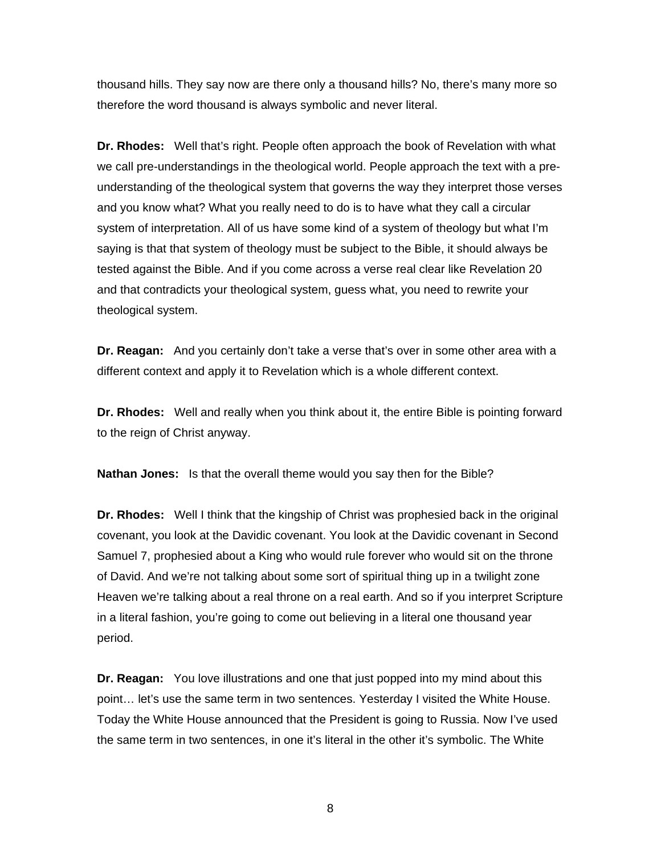thousand hills. They say now are there only a thousand hills? No, there's many more so therefore the word thousand is always symbolic and never literal.

**Dr. Rhodes:** Well that's right. People often approach the book of Revelation with what we call pre-understandings in the theological world. People approach the text with a preunderstanding of the theological system that governs the way they interpret those verses and you know what? What you really need to do is to have what they call a circular system of interpretation. All of us have some kind of a system of theology but what I'm saying is that that system of theology must be subject to the Bible, it should always be tested against the Bible. And if you come across a verse real clear like Revelation 20 and that contradicts your theological system, guess what, you need to rewrite your theological system.

**Dr. Reagan:** And you certainly don't take a verse that's over in some other area with a different context and apply it to Revelation which is a whole different context.

**Dr. Rhodes:** Well and really when you think about it, the entire Bible is pointing forward to the reign of Christ anyway.

**Nathan Jones:** Is that the overall theme would you say then for the Bible?

**Dr. Rhodes:** Well I think that the kingship of Christ was prophesied back in the original covenant, you look at the Davidic covenant. You look at the Davidic covenant in Second Samuel 7, prophesied about a King who would rule forever who would sit on the throne of David. And we're not talking about some sort of spiritual thing up in a twilight zone Heaven we're talking about a real throne on a real earth. And so if you interpret Scripture in a literal fashion, you're going to come out believing in a literal one thousand year period.

**Dr. Reagan:** You love illustrations and one that just popped into my mind about this point… let's use the same term in two sentences. Yesterday I visited the White House. Today the White House announced that the President is going to Russia. Now I've used the same term in two sentences, in one it's literal in the other it's symbolic. The White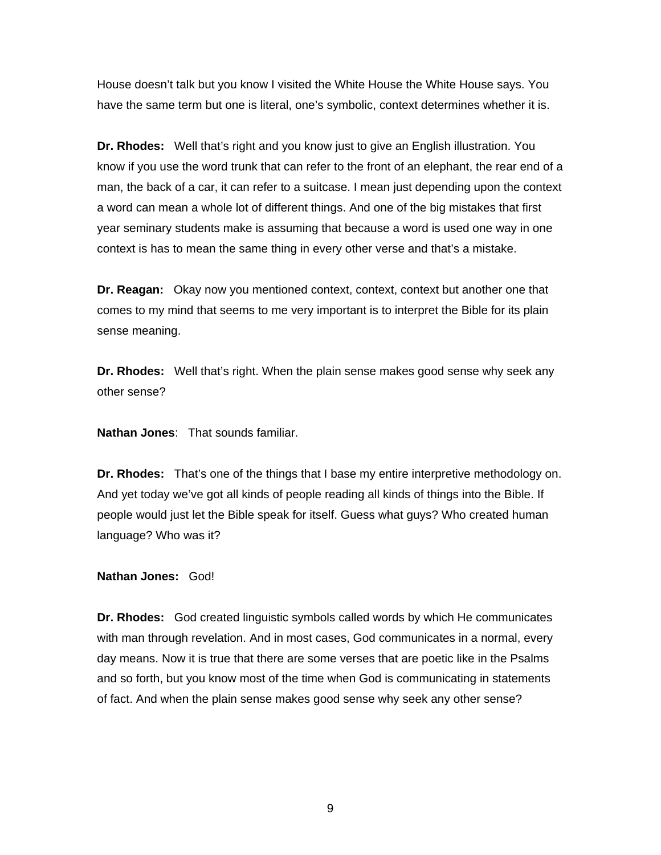House doesn't talk but you know I visited the White House the White House says. You have the same term but one is literal, one's symbolic, context determines whether it is.

**Dr. Rhodes:** Well that's right and you know just to give an English illustration. You know if you use the word trunk that can refer to the front of an elephant, the rear end of a man, the back of a car, it can refer to a suitcase. I mean just depending upon the context a word can mean a whole lot of different things. And one of the big mistakes that first year seminary students make is assuming that because a word is used one way in one context is has to mean the same thing in every other verse and that's a mistake.

**Dr. Reagan:** Okay now you mentioned context, context, context but another one that comes to my mind that seems to me very important is to interpret the Bible for its plain sense meaning.

**Dr. Rhodes:** Well that's right. When the plain sense makes good sense why seek any other sense?

**Nathan Jones**: That sounds familiar.

**Dr. Rhodes:** That's one of the things that I base my entire interpretive methodology on. And yet today we've got all kinds of people reading all kinds of things into the Bible. If people would just let the Bible speak for itself. Guess what guys? Who created human language? Who was it?

**Nathan Jones:** God!

**Dr. Rhodes:** God created linguistic symbols called words by which He communicates with man through revelation. And in most cases, God communicates in a normal, every day means. Now it is true that there are some verses that are poetic like in the Psalms and so forth, but you know most of the time when God is communicating in statements of fact. And when the plain sense makes good sense why seek any other sense?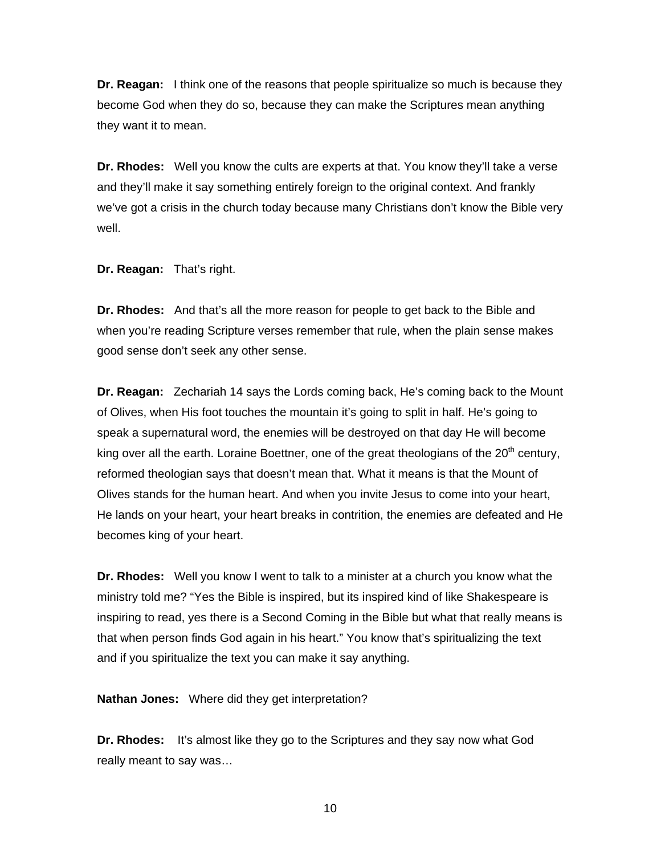**Dr. Reagan:** I think one of the reasons that people spiritualize so much is because they become God when they do so, because they can make the Scriptures mean anything they want it to mean.

**Dr. Rhodes:** Well you know the cults are experts at that. You know they'll take a verse and they'll make it say something entirely foreign to the original context. And frankly we've got a crisis in the church today because many Christians don't know the Bible very well.

**Dr. Reagan:** That's right.

**Dr. Rhodes:** And that's all the more reason for people to get back to the Bible and when you're reading Scripture verses remember that rule, when the plain sense makes good sense don't seek any other sense.

**Dr. Reagan:** Zechariah 14 says the Lords coming back, He's coming back to the Mount of Olives, when His foot touches the mountain it's going to split in half. He's going to speak a supernatural word, the enemies will be destroyed on that day He will become king over all the earth. Loraine Boettner, one of the great theologians of the  $20<sup>th</sup>$  century, reformed theologian says that doesn't mean that. What it means is that the Mount of Olives stands for the human heart. And when you invite Jesus to come into your heart, He lands on your heart, your heart breaks in contrition, the enemies are defeated and He becomes king of your heart.

**Dr. Rhodes:** Well you know I went to talk to a minister at a church you know what the ministry told me? "Yes the Bible is inspired, but its inspired kind of like Shakespeare is inspiring to read, yes there is a Second Coming in the Bible but what that really means is that when person finds God again in his heart." You know that's spiritualizing the text and if you spiritualize the text you can make it say anything.

**Nathan Jones:** Where did they get interpretation?

**Dr. Rhodes:** It's almost like they go to the Scriptures and they say now what God really meant to say was…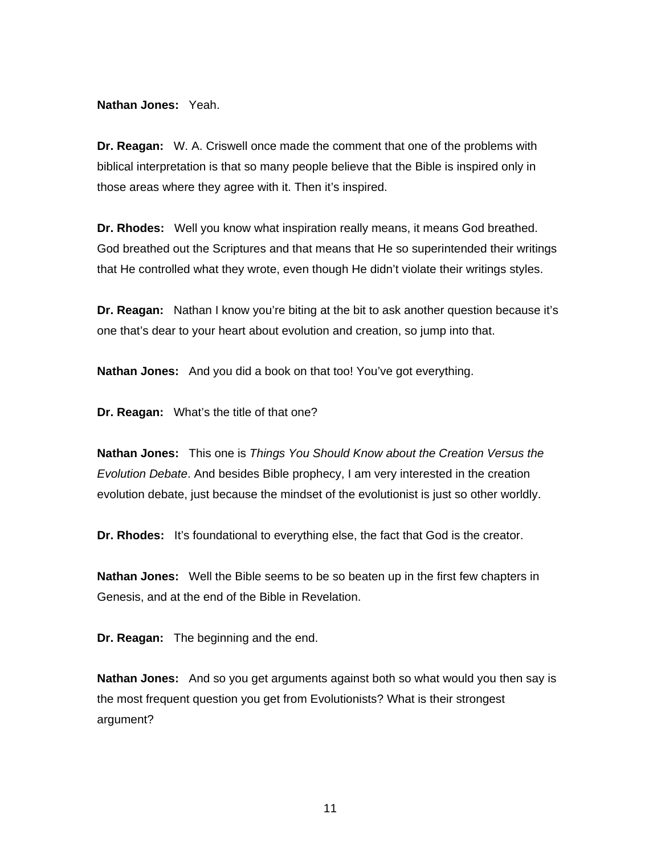### **Nathan Jones:** Yeah.

**Dr. Reagan:** W. A. Criswell once made the comment that one of the problems with biblical interpretation is that so many people believe that the Bible is inspired only in those areas where they agree with it. Then it's inspired.

**Dr. Rhodes:** Well you know what inspiration really means, it means God breathed. God breathed out the Scriptures and that means that He so superintended their writings that He controlled what they wrote, even though He didn't violate their writings styles.

**Dr. Reagan:** Nathan I know you're biting at the bit to ask another question because it's one that's dear to your heart about evolution and creation, so jump into that.

**Nathan Jones:** And you did a book on that too! You've got everything.

**Dr. Reagan:** What's the title of that one?

**Nathan Jones:** This one is *Things You Should Know about the Creation Versus the Evolution Debate*. And besides Bible prophecy, I am very interested in the creation evolution debate, just because the mindset of the evolutionist is just so other worldly.

**Dr. Rhodes:** It's foundational to everything else, the fact that God is the creator.

**Nathan Jones:** Well the Bible seems to be so beaten up in the first few chapters in Genesis, and at the end of the Bible in Revelation.

**Dr. Reagan:** The beginning and the end.

**Nathan Jones:** And so you get arguments against both so what would you then say is the most frequent question you get from Evolutionists? What is their strongest argument?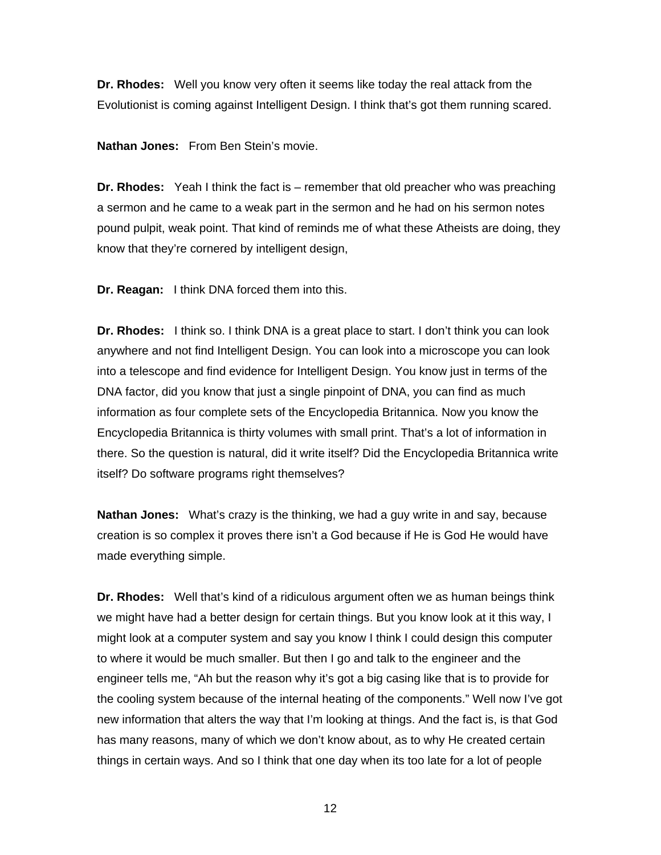**Dr. Rhodes:** Well you know very often it seems like today the real attack from the Evolutionist is coming against Intelligent Design. I think that's got them running scared.

**Nathan Jones:** From Ben Stein's movie.

**Dr. Rhodes:** Yeah I think the fact is – remember that old preacher who was preaching a sermon and he came to a weak part in the sermon and he had on his sermon notes pound pulpit, weak point. That kind of reminds me of what these Atheists are doing, they know that they're cornered by intelligent design,

**Dr. Reagan:** I think DNA forced them into this.

**Dr. Rhodes:** I think so. I think DNA is a great place to start. I don't think you can look anywhere and not find Intelligent Design. You can look into a microscope you can look into a telescope and find evidence for Intelligent Design. You know just in terms of the DNA factor, did you know that just a single pinpoint of DNA, you can find as much information as four complete sets of the Encyclopedia Britannica. Now you know the Encyclopedia Britannica is thirty volumes with small print. That's a lot of information in there. So the question is natural, did it write itself? Did the Encyclopedia Britannica write itself? Do software programs right themselves?

**Nathan Jones:** What's crazy is the thinking, we had a guy write in and say, because creation is so complex it proves there isn't a God because if He is God He would have made everything simple.

**Dr. Rhodes:** Well that's kind of a ridiculous argument often we as human beings think we might have had a better design for certain things. But you know look at it this way, I might look at a computer system and say you know I think I could design this computer to where it would be much smaller. But then I go and talk to the engineer and the engineer tells me, "Ah but the reason why it's got a big casing like that is to provide for the cooling system because of the internal heating of the components." Well now I've got new information that alters the way that I'm looking at things. And the fact is, is that God has many reasons, many of which we don't know about, as to why He created certain things in certain ways. And so I think that one day when its too late for a lot of people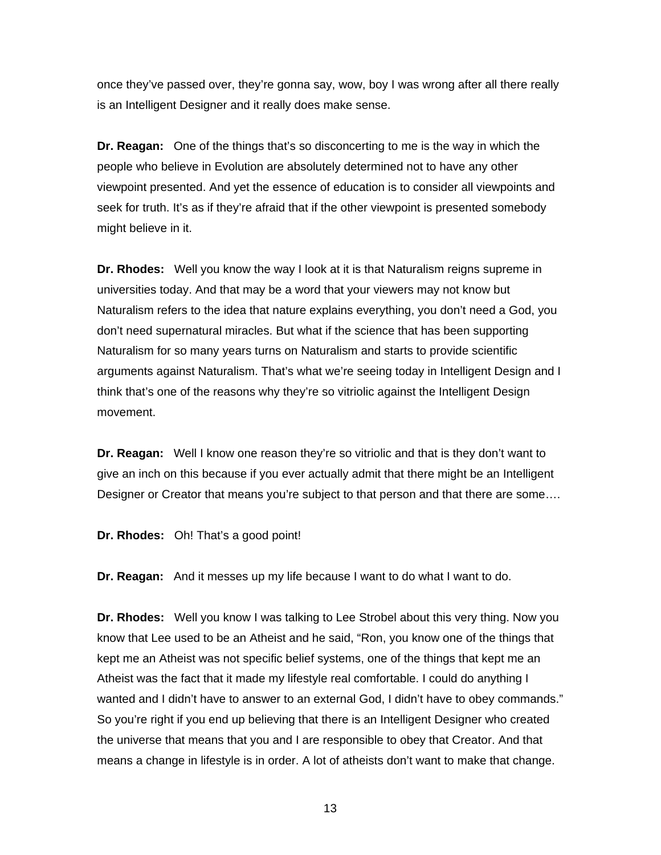once they've passed over, they're gonna say, wow, boy I was wrong after all there really is an Intelligent Designer and it really does make sense.

**Dr. Reagan:** One of the things that's so disconcerting to me is the way in which the people who believe in Evolution are absolutely determined not to have any other viewpoint presented. And yet the essence of education is to consider all viewpoints and seek for truth. It's as if they're afraid that if the other viewpoint is presented somebody might believe in it.

**Dr. Rhodes:** Well you know the way I look at it is that Naturalism reigns supreme in universities today. And that may be a word that your viewers may not know but Naturalism refers to the idea that nature explains everything, you don't need a God, you don't need supernatural miracles. But what if the science that has been supporting Naturalism for so many years turns on Naturalism and starts to provide scientific arguments against Naturalism. That's what we're seeing today in Intelligent Design and I think that's one of the reasons why they're so vitriolic against the Intelligent Design movement.

**Dr. Reagan:** Well I know one reason they're so vitriolic and that is they don't want to give an inch on this because if you ever actually admit that there might be an Intelligent Designer or Creator that means you're subject to that person and that there are some….

**Dr. Rhodes:** Oh! That's a good point!

**Dr. Reagan:** And it messes up my life because I want to do what I want to do.

**Dr. Rhodes:** Well you know I was talking to Lee Strobel about this very thing. Now you know that Lee used to be an Atheist and he said, "Ron, you know one of the things that kept me an Atheist was not specific belief systems, one of the things that kept me an Atheist was the fact that it made my lifestyle real comfortable. I could do anything I wanted and I didn't have to answer to an external God, I didn't have to obey commands." So you're right if you end up believing that there is an Intelligent Designer who created the universe that means that you and I are responsible to obey that Creator. And that means a change in lifestyle is in order. A lot of atheists don't want to make that change.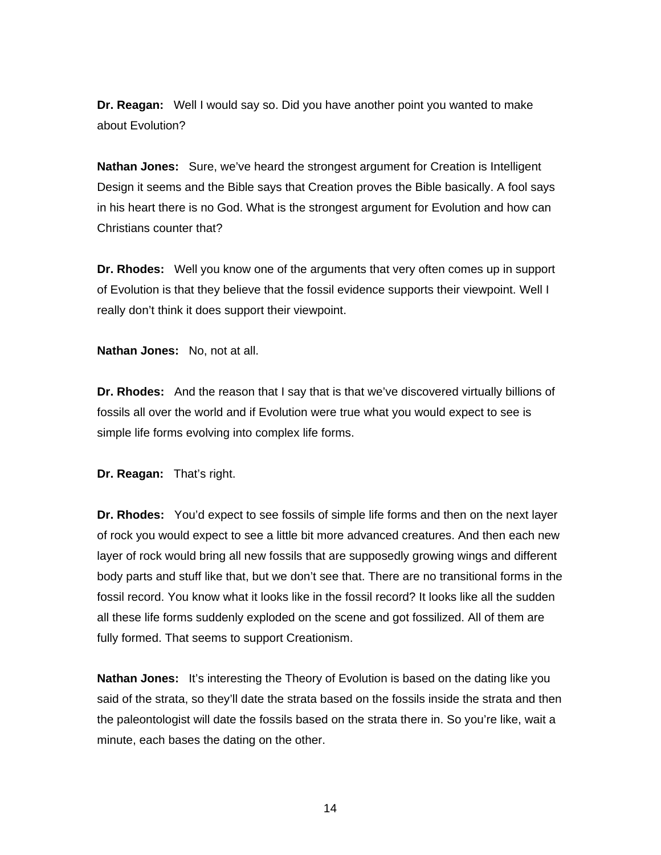**Dr. Reagan:** Well I would say so. Did you have another point you wanted to make about Evolution?

**Nathan Jones:** Sure, we've heard the strongest argument for Creation is Intelligent Design it seems and the Bible says that Creation proves the Bible basically. A fool says in his heart there is no God. What is the strongest argument for Evolution and how can Christians counter that?

**Dr. Rhodes:** Well you know one of the arguments that very often comes up in support of Evolution is that they believe that the fossil evidence supports their viewpoint. Well I really don't think it does support their viewpoint.

**Nathan Jones:** No, not at all.

**Dr. Rhodes:** And the reason that I say that is that we've discovered virtually billions of fossils all over the world and if Evolution were true what you would expect to see is simple life forms evolving into complex life forms.

**Dr. Reagan:** That's right.

**Dr. Rhodes:** You'd expect to see fossils of simple life forms and then on the next layer of rock you would expect to see a little bit more advanced creatures. And then each new layer of rock would bring all new fossils that are supposedly growing wings and different body parts and stuff like that, but we don't see that. There are no transitional forms in the fossil record. You know what it looks like in the fossil record? It looks like all the sudden all these life forms suddenly exploded on the scene and got fossilized. All of them are fully formed. That seems to support Creationism.

**Nathan Jones:** It's interesting the Theory of Evolution is based on the dating like you said of the strata, so they'll date the strata based on the fossils inside the strata and then the paleontologist will date the fossils based on the strata there in. So you're like, wait a minute, each bases the dating on the other.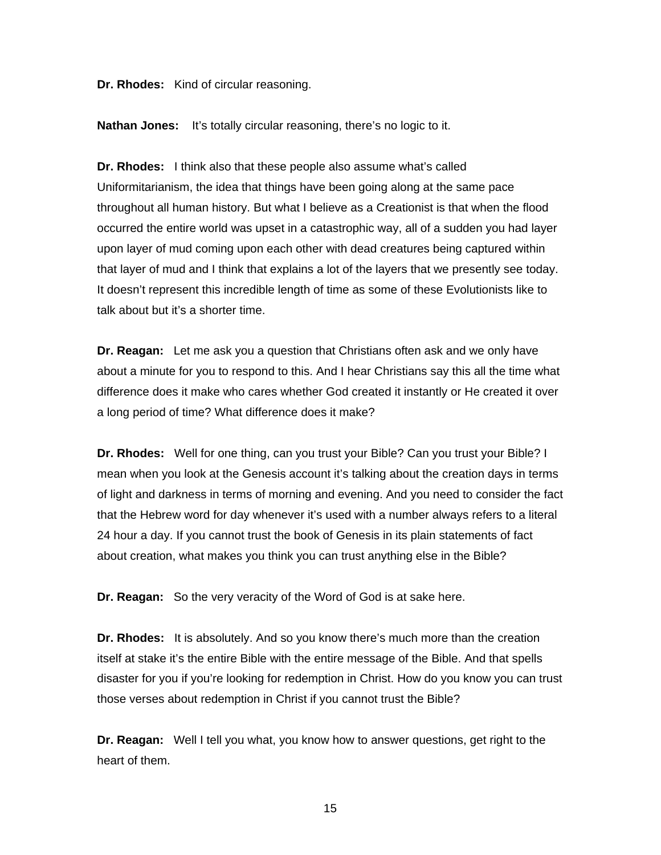**Dr. Rhodes:** Kind of circular reasoning.

**Nathan Jones:** It's totally circular reasoning, there's no logic to it.

**Dr. Rhodes:** I think also that these people also assume what's called Uniformitarianism, the idea that things have been going along at the same pace throughout all human history. But what I believe as a Creationist is that when the flood occurred the entire world was upset in a catastrophic way, all of a sudden you had layer upon layer of mud coming upon each other with dead creatures being captured within that layer of mud and I think that explains a lot of the layers that we presently see today. It doesn't represent this incredible length of time as some of these Evolutionists like to talk about but it's a shorter time.

**Dr. Reagan:** Let me ask you a question that Christians often ask and we only have about a minute for you to respond to this. And I hear Christians say this all the time what difference does it make who cares whether God created it instantly or He created it over a long period of time? What difference does it make?

**Dr. Rhodes:** Well for one thing, can you trust your Bible? Can you trust your Bible? I mean when you look at the Genesis account it's talking about the creation days in terms of light and darkness in terms of morning and evening. And you need to consider the fact that the Hebrew word for day whenever it's used with a number always refers to a literal 24 hour a day. If you cannot trust the book of Genesis in its plain statements of fact about creation, what makes you think you can trust anything else in the Bible?

**Dr. Reagan:** So the very veracity of the Word of God is at sake here.

**Dr. Rhodes:** It is absolutely. And so you know there's much more than the creation itself at stake it's the entire Bible with the entire message of the Bible. And that spells disaster for you if you're looking for redemption in Christ. How do you know you can trust those verses about redemption in Christ if you cannot trust the Bible?

**Dr. Reagan:** Well I tell you what, you know how to answer questions, get right to the heart of them.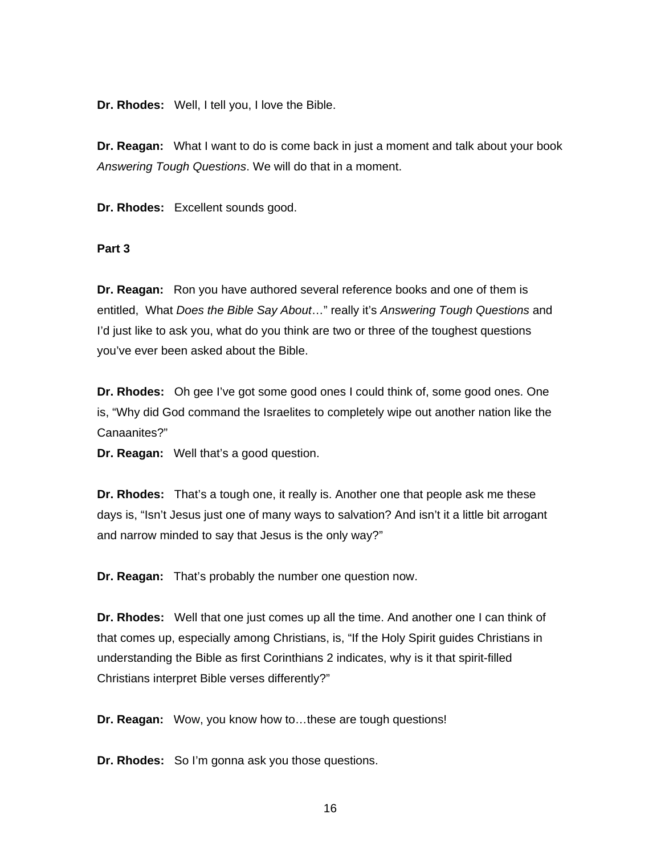**Dr. Rhodes:** Well, I tell you, I love the Bible.

**Dr. Reagan:** What I want to do is come back in just a moment and talk about your book *Answering Tough Questions*. We will do that in a moment.

**Dr. Rhodes:** Excellent sounds good.

### **Part 3**

**Dr. Reagan:** Ron you have authored several reference books and one of them is entitled, What *Does the Bible Say About*…" really it's *Answering Tough Questions* and I'd just like to ask you, what do you think are two or three of the toughest questions you've ever been asked about the Bible.

**Dr. Rhodes:** Oh gee I've got some good ones I could think of, some good ones. One is, "Why did God command the Israelites to completely wipe out another nation like the Canaanites?"

**Dr. Reagan:** Well that's a good question.

**Dr. Rhodes:** That's a tough one, it really is. Another one that people ask me these days is, "Isn't Jesus just one of many ways to salvation? And isn't it a little bit arrogant and narrow minded to say that Jesus is the only way?"

**Dr. Reagan:** That's probably the number one question now.

**Dr. Rhodes:** Well that one just comes up all the time. And another one I can think of that comes up, especially among Christians, is, "If the Holy Spirit guides Christians in understanding the Bible as first Corinthians 2 indicates, why is it that spirit-filled Christians interpret Bible verses differently?"

**Dr. Reagan:** Wow, you know how to…these are tough questions!

**Dr. Rhodes:** So I'm gonna ask you those questions.